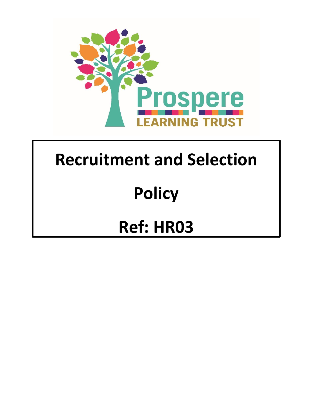

## **Recruitment and Selection**

# **Policy**

## **Ref: HR03**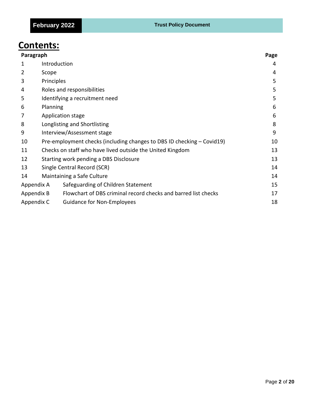### **Contents:**

| Paragraph  |                                                                              |    |
|------------|------------------------------------------------------------------------------|----|
| 1          | Introduction                                                                 | 4  |
| 2          | Scope                                                                        | 4  |
| 3          | Principles                                                                   |    |
| 4          | Roles and responsibilities                                                   |    |
| 5          | Identifying a recruitment need                                               |    |
| 6          | Planning                                                                     |    |
| 7          | Application stage                                                            |    |
| 8          | 8<br>Longlisting and Shortlisting                                            |    |
| 9          | Interview/Assessment stage                                                   |    |
| 10         | Pre-employment checks (including changes to DBS ID checking – Covid19)<br>10 |    |
| 11         | 13<br>Checks on staff who have lived outside the United Kingdom              |    |
| 12         | Starting work pending a DBS Disclosure                                       |    |
| 13         | Single Central Record (SCR)<br>14                                            |    |
| 14         | Maintaining a Safe Culture                                                   | 14 |
| Appendix A | Safeguarding of Children Statement                                           | 15 |
| Appendix B | Flowchart of DBS criminal record checks and barred list checks               | 17 |
| Appendix C | <b>Guidance for Non-Employees</b>                                            | 18 |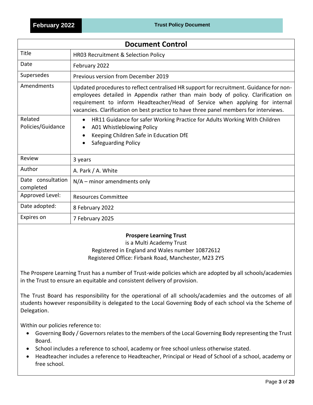| <b>Document Control</b>        |                                                                                                                                                                                                                                                                                                                                                      |  |  |
|--------------------------------|------------------------------------------------------------------------------------------------------------------------------------------------------------------------------------------------------------------------------------------------------------------------------------------------------------------------------------------------------|--|--|
| Title                          | HR03 Recruitment & Selection Policy                                                                                                                                                                                                                                                                                                                  |  |  |
| Date                           | February 2022                                                                                                                                                                                                                                                                                                                                        |  |  |
| Supersedes                     | Previous version from December 2019                                                                                                                                                                                                                                                                                                                  |  |  |
| Amendments                     | Updated procedures to reflect centralised HR support for recruitment. Guidance for non-<br>employees detailed in Appendix rather than main body of policy. Clarification on<br>requirement to inform Headteacher/Head of Service when applying for internal<br>vacancies. Clarification on best practice to have three panel members for interviews. |  |  |
| Related<br>Policies/Guidance   | HR11 Guidance for safer Working Practice for Adults Working With Children<br>$\bullet$<br>A01 Whistleblowing Policy<br>Keeping Children Safe in Education DfE<br><b>Safeguarding Policy</b><br>$\bullet$                                                                                                                                             |  |  |
| Review                         | 3 years                                                                                                                                                                                                                                                                                                                                              |  |  |
| Author                         | A. Park / A. White                                                                                                                                                                                                                                                                                                                                   |  |  |
| Date consultation<br>completed | $N/A$ – minor amendments only                                                                                                                                                                                                                                                                                                                        |  |  |
| Approved Level:                | <b>Resources Committee</b>                                                                                                                                                                                                                                                                                                                           |  |  |
| Date adopted:                  | 8 February 2022                                                                                                                                                                                                                                                                                                                                      |  |  |
| Expires on                     | 7 February 2025                                                                                                                                                                                                                                                                                                                                      |  |  |

#### **Prospere Learning Trust**

is a Multi Academy Trust

Registered in England and Wales number 10872612 Registered Office: Firbank Road, Manchester, M23 2YS

The Prospere Learning Trust has a number of Trust-wide policies which are adopted by all schools/academies in the Trust to ensure an equitable and consistent delivery of provision.

The Trust Board has responsibility for the operational of all schools/academies and the outcomes of all students however responsibility is delegated to the Local Governing Body of each school via the Scheme of Delegation.

Within our policies reference to:

- Governing Body / Governors relates to the members of the Local Governing Body representing the Trust Board.
- School includes a reference to school, academy or free school unless otherwise stated.
- Headteacher includes a reference to Headteacher, Principal or Head of School of a school, academy or free school.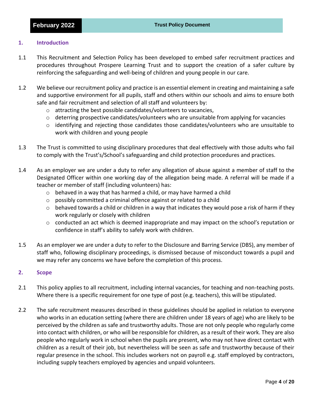#### **1. Introduction**

- 1.1 This Recruitment and Selection Policy has been developed to embed safer recruitment practices and procedures throughout Prospere Learning Trust and to support the creation of a safer culture by reinforcing the safeguarding and well-being of children and young people in our care.
- 1.2 We believe our recruitment policy and practice is an essential element in creating and maintaining a safe and supportive environment for all pupils, staff and others within our schools and aims to ensure both safe and fair recruitment and selection of all staff and volunteers by:
	- o attracting the best possible candidates/volunteers to vacancies,
	- o deterring prospective candidates/volunteers who are unsuitable from applying for vacancies
	- $\circ$  identifying and rejecting those candidates those candidates/volunteers who are unsuitable to work with children and young people
- 1.3 The Trust is committed to using disciplinary procedures that deal effectively with those adults who fail to comply with the Trust's/School's safeguarding and child protection procedures and practices.
- 1.4 As an employer we are under a duty to refer any allegation of abuse against a member of staff to the Designated Officer within one working day of the allegation being made. A referral will be made if a teacher or member of staff (including volunteers) has:
	- $\circ$  behaved in a way that has harmed a child, or may have harmed a child
	- o possibly committed a criminal offence against or related to a child
	- $\circ$  behaved towards a child or children in a way that indicates they would pose a risk of harm if they work regularly or closely with children
	- $\circ$  conducted an act which is deemed inappropriate and may impact on the school's reputation or confidence in staff's ability to safely work with children.
- 1.5 As an employer we are under a duty to refer to the Disclosure and Barring Service (DBS), any member of staff who, following disciplinary proceedings, is dismissed because of misconduct towards a pupil and we may refer any concerns we have before the completion of this process.

#### **2. Scope**

- 2.1 This policy applies to all recruitment, including internal vacancies, for teaching and non-teaching posts. Where there is a specific requirement for one type of post (e.g. teachers), this will be stipulated.
- 2.2 The safe recruitment measures described in these guidelines should be applied in relation to everyone who works in an education setting (where there are children under 18 years of age) who are likely to be perceived by the children as safe and trustworthy adults. Those are not only people who regularly come into contact with children, or who will be responsible for children, as a result of their work. They are also people who regularly work in school when the pupils are present, who may not have direct contact with children as a result of their job, but nevertheless will be seen as safe and trustworthy because of their regular presence in the school. This includes workers not on payroll e.g. staff employed by contractors, including supply teachers employed by agencies and unpaid volunteers.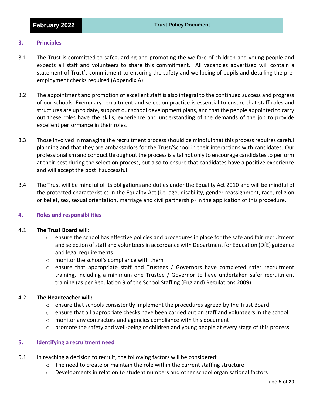#### **3. Principles**

- 3.1 The Trust is committed to safeguarding and promoting the welfare of children and young people and expects all staff and volunteers to share this commitment. All vacancies advertised will contain a statement of Trust's commitment to ensuring the safety and wellbeing of pupils and detailing the preemployment checks required (Appendix A).
- 3.2 The appointment and promotion of excellent staff is also integral to the continued success and progress of our schools. Exemplary recruitment and selection practice is essential to ensure that staff roles and structures are up to date, support our school development plans, and that the people appointed to carry out these roles have the skills, experience and understanding of the demands of the job to provide excellent performance in their roles.
- 3.3 Those involved in managing the recruitment process should be mindful that this process requires careful planning and that they are ambassadors for the Trust/School in their interactions with candidates. Our professionalism and conduct throughout the process is vital not only to encourage candidates to perform at their best during the selection process, but also to ensure that candidates have a positive experience and will accept the post if successful.
- 3.4 The Trust will be mindful of its obligations and duties under the Equality Act 2010 and will be mindful of the protected characteristics in the Equality Act (i.e. age, disability, gender reassignment, race, religion or belief, sex, sexual orientation, marriage and civil partnership) in the application of this procedure.

#### **4. Roles and responsibilities**

#### 4.1 **The Trust Board will:**

- $\circ$  ensure the school has effective policies and procedures in place for the safe and fair recruitment and selection of staff and volunteers in accordance with Department for Education (DfE) guidance and legal requirements
- o monitor the school's compliance with them
- o ensure that appropriate staff and Trustees / Governors have completed safer recruitment training, including a minimum one Trustee / Governor to have undertaken safer recruitment training (as per Regulation 9 of the School Staffing (England) Regulations 2009).

#### 4.2 **The Headteacher will:**

- $\circ$  ensure that schools consistently implement the procedures agreed by the Trust Board
- $\circ$  ensure that all appropriate checks have been carried out on staff and volunteers in the school
- o monitor any contractors and agencies compliance with this document
- $\circ$  promote the safety and well-being of children and young people at every stage of this process

#### **5. Identifying a recruitment need**

- 5.1 In reaching a decision to recruit, the following factors will be considered:
	- $\circ$  The need to create or maintain the role within the current staffing structure
	- $\circ$  Developments in relation to student numbers and other school organisational factors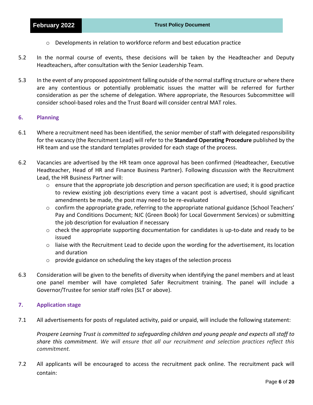- $\circ$  Developments in relation to workforce reform and best education practice
- 5.2 In the normal course of events, these decisions will be taken by the Headteacher and Deputy Headteachers, after consultation with the Senior Leadership Team.
- 5.3 In the event of any proposed appointment falling outside of the normal staffing structure or where there are any contentious or potentially problematic issues the matter will be referred for further consideration as per the scheme of delegation. Where appropriate, the Resources Subcommittee will consider school-based roles and the Trust Board will consider central MAT roles.

#### **6. Planning**

- 6.1 Where a recruitment need has been identified, the senior member of staff with delegated responsibility for the vacancy (the Recruitment Lead) will refer to the **Standard Operating Procedure** published by the HR team and use the standard templates provided for each stage of the process.
- 6.2 Vacancies are advertised by the HR team once approval has been confirmed (Headteacher, Executive Headteacher, Head of HR and Finance Business Partner). Following discussion with the Recruitment Lead, the HR Business Partner will:
	- o ensure that the appropriate job description and person specification are used; it is good practice to review existing job descriptions every time a vacant post is advertised, should significant amendments be made, the post may need to be re-evaluated
	- $\circ$  confirm the appropriate grade, referring to the appropriate national guidance (School Teachers' Pay and Conditions Document; NJC (Green Book) for Local Government Services) or submitting the job description for evaluation if necessary
	- o check the appropriate supporting documentation for candidates is up-to-date and ready to be issued
	- $\circ$  liaise with the Recruitment Lead to decide upon the wording for the advertisement, its location and duration
	- $\circ$  provide guidance on scheduling the key stages of the selection process
- 6.3 Consideration will be given to the benefits of diversity when identifying the panel members and at least one panel member will have completed Safer Recruitment training. The panel will include a Governor/Trustee for senior staff roles (SLT or above).

#### **7. Application stage**

7.1 All advertisements for posts of regulated activity, paid or unpaid, will include the following statement:

*Prospere Learning Trust is committed to safeguarding children and young people and expects all staff to share this commitment. We will ensure that all our recruitment and selection practices reflect this commitment.*

7.2 All applicants will be encouraged to access the recruitment pack online. The recruitment pack will contain: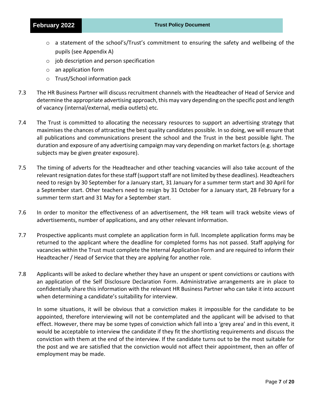- $\circ$  a statement of the school's/Trust's commitment to ensuring the safety and wellbeing of the pupils (see Appendix A)
- $\circ$  job description and person specification
- o an application form
- o Trust/School information pack
- 7.3 The HR Business Partner will discuss recruitment channels with the Headteacher of Head of Service and determine the appropriate advertising approach, this may vary depending on the specific post and length of vacancy (internal/external, media outlets) etc.
- 7.4 The Trust is committed to allocating the necessary resources to support an advertising strategy that maximises the chances of attracting the best quality candidates possible. In so doing, we will ensure that all publications and communications present the school and the Trust in the best possible light. The duration and exposure of any advertising campaign may vary depending on market factors (e.g. shortage subjects may be given greater exposure).
- 7.5 The timing of adverts for the Headteacher and other teaching vacancies will also take account of the relevant resignation dates for these staff (support staff are not limited by these deadlines). Headteachers need to resign by 30 September for a January start, 31 January for a summer term start and 30 April for a September start. Other teachers need to resign by 31 October for a January start, 28 February for a summer term start and 31 May for a September start.
- 7.6 In order to monitor the effectiveness of an advertisement, the HR team will track website views of advertisements, number of applications, and any other relevant information.
- 7.7 Prospective applicants must complete an application form in full. Incomplete application forms may be returned to the applicant where the deadline for completed forms has not passed. Staff applying for vacancies within the Trust must complete the Internal Application Form and are required to inform their Headteacher / Head of Service that they are applying for another role.
- 7.8 Applicants will be asked to declare whether they have an unspent or spent convictions or cautions with an application of the Self Disclosure Declaration Form. Administrative arrangements are in place to confidentially share this information with the relevant HR Business Partner who can take it into account when determining a candidate's suitability for interview.

In some situations, it will be obvious that a conviction makes it impossible for the candidate to be appointed, therefore interviewing will not be contemplated and the applicant will be advised to that effect. However, there may be some types of conviction which fall into a 'grey area' and in this event, it would be acceptable to interview the candidate if they fit the shortlisting requirements and discuss the conviction with them at the end of the interview. If the candidate turns out to be the most suitable for the post and we are satisfied that the conviction would not affect their appointment, then an offer of employment may be made.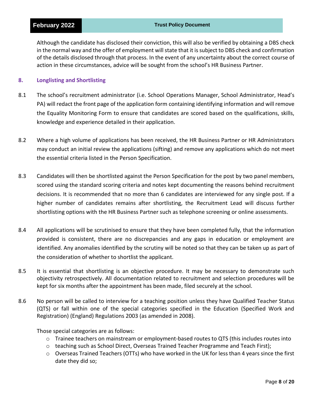Although the candidate has disclosed their conviction, this will also be verified by obtaining a DBS check in the normal way and the offer of employment will state that it is subject to DBS check and confirmation of the details disclosed through that process. In the event of any uncertainty about the correct course of action in these circumstances, advice will be sought from the school's HR Business Partner.

#### **8. Longlisting and Shortlisting**

- 8.1 The school's recruitment administrator (i.e. School Operations Manager, School Administrator, Head's PA) will redact the front page of the application form containing identifying information and will remove the Equality Monitoring Form to ensure that candidates are scored based on the qualifications, skills, knowledge and experience detailed in their application.
- 8.2 Where a high volume of applications has been received, the HR Business Partner or HR Administrators may conduct an initial review the applications (sifting) and remove any applications which do not meet the essential criteria listed in the Person Specification.
- 8.3 Candidates will then be shortlisted against the Person Specification for the post by two panel members, scored using the standard scoring criteria and notes kept documenting the reasons behind recruitment decisions. It is recommended that no more than 6 candidates are interviewed for any single post. If a higher number of candidates remains after shortlisting, the Recruitment Lead will discuss further shortlisting options with the HR Business Partner such as telephone screening or online assessments.
- 8.4 All applications will be scrutinised to ensure that they have been completed fully, that the information provided is consistent, there are no discrepancies and any gaps in education or employment are identified. Any anomalies identified by the scrutiny will be noted so that they can be taken up as part of the consideration of whether to shortlist the applicant.
- 8.5 It is essential that shortlisting is an objective procedure. It may be necessary to demonstrate such objectivity retrospectively. All documentation related to recruitment and selection procedures will be kept for six months after the appointment has been made, filed securely at the school.
- 8.6 No person will be called to interview for a teaching position unless they have Qualified Teacher Status (QTS) or fall within one of the special categories specified in the Education (Specified Work and Registration) (England) Regulations 2003 (as amended in 2008).

Those special categories are as follows:

- o Trainee teachers on mainstream or employment-based routes to QTS (this includes routes into
- $\circ$  teaching such as School Direct, Overseas Trained Teacher Programme and Teach First);
- $\circ$  Overseas Trained Teachers (OTTs) who have worked in the UK for less than 4 years since the first date they did so;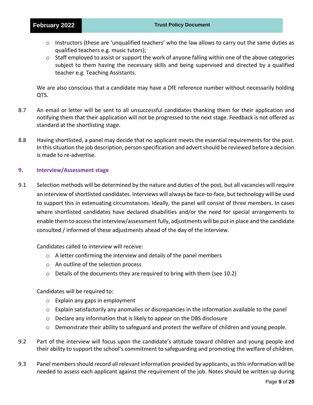- $\circ$  Instructors (these are 'unqualified teachers' who the law allows to carry out the same duties as qualified teachers e.g. music tutors);
- $\circ$  Staff employed to assist or support the work of anyone falling within one of the above categories subject to them having the necessary skills and being supervised and directed by a qualified teacher e.g. Teaching Assistants.

We are also conscious that a candidate may have a DfE reference number without necessarily holding QTS.

- 8.7 An email or letter will be sent to all unsuccessful candidates thanking them for their application and notifying them that their application will not be progressed to the next stage. Feedback is not offered as standard at the shortlisting stage.
- 8.8 Having shortlisted, a panel may decide that no applicant meets the essential requirements for the post. In this situation the job description, person specification and advert should be reviewed before a decision is made to re-advertise.

#### **9. Interview/Assessment stage**

9.1 Selection methods will be determined by the nature and duties of the post, but all vacancies will require an interview of shortlisted candidates. Interviews will always be face-to-face, but technology will be used to support this in extenuating circumstances. Ideally, the panel will consist of three members. In cases where shortlisted candidates have declared disabilities and/or the need for special arrangements to enable them to access the interview/assessment fully, adjustments will be put in place and the candidate consulted / informed of these adjustments ahead of the day of the interview.

Candidates called to interview will receive:

- o A letter confirming the interview and details of the panel members
- o An outline of the selection process
- $\circ$  Details of the documents they are required to bring with them (see 10.2)

Candidates will be required to:

- o Explain any gaps in employment
- o Explain satisfactorily any anomalies or discrepancies in the information available to the panel
- $\circ$  Declare any information that is likely to appear on the DBS disclosure
- o Demonstrate their ability to safeguard and protect the welfare of children and young people.
- 9.2 Part of the interview will focus upon the candidate's attitude toward children and young people and their ability to support the school's commitment to safeguarding and promoting the welfare of children.
- 9.3 Panel members should record all relevant information provided by applicants, as this information will be needed to assess each applicant against the requirement of the job. Notes should be written up during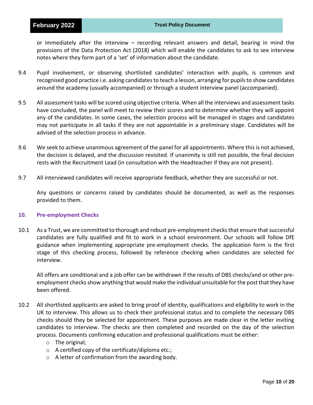or immediately after the interview – recording relevant answers and detail, bearing in mind the provisions of the Data Protection Act (2018) which will enable the candidates to ask to see interview notes where they form part of a 'set' of information about the candidate.

- 9.4 Pupil involvement, or observing shortlisted candidates' interaction with pupils, is common and recognised good practice i.e. asking candidates to teach a lesson, arranging for pupils to show candidates around the academy (usually accompanied) or through a student interview panel (accompanied).
- 9.5 All assessment tasks will be scored using objective criteria. When all the interviews and assessment tasks have concluded, the panel will meet to review their scores and to determine whether they will appoint any of the candidates. In some cases, the selection process will be managed in stages and candidates may not participate in all tasks if they are not appointable in a preliminary stage. Candidates will be advised of the selection process in advance.
- 9.6 We seek to achieve unanimous agreement of the panel for all appointments. Where this is not achieved, the decision is delayed, and the discussion revisited. If unanimity is still not possible, the final decision rests with the Recruitment Lead (in consultation with the Headteacher if they are not present).
- 9.7 All interviewed candidates will receive appropriate feedback, whether they are successful or not.

Any questions or concerns raised by candidates should be documented, as well as the responses provided to them.

#### **10. Pre-employment Checks**

10.1 As a Trust, we are committed to thorough and robust pre-employment checks that ensure that successful candidates are fully qualified and fit to work in a school environment. Our schools will follow DfE guidance when implementing appropriate pre-employment checks. The application form is the first stage of this checking process, followed by reference checking when candidates are selected for interview.

All offers are conditional and a job offer can be withdrawn if the results of DBS checks/and or other preemployment checks show anything that would make the individual unsuitable for the post that they have been offered.

- 10.2 All shortlisted applicants are asked to bring proof of identity, qualifications and eligibility to work in the UK to interview. This allows us to check their professional status and to complete the necessary DBS checks should they be selected for appointment. These purposes are made clear in the letter inviting candidates to interview. The checks are then completed and recorded on the day of the selection process. Documents confirming education and professional qualifications must be either:
	- o The original;
	- o A certified copy of the certificate/diploma etc.;
	- o A letter of confirmation from the awarding body.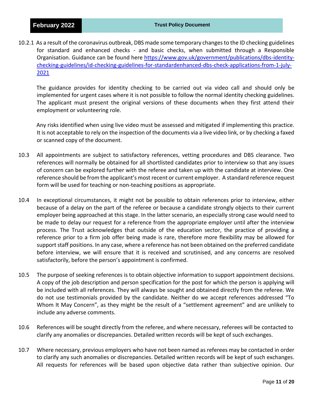10.2.1 As a result of the coronavirus outbreak, DBS made some temporary changes to the ID checking guidelines for standard and enhanced checks - and basic checks, when submitted through a Responsible Organisation. Guidance can be found here [https://www.gov.uk/government/publications/dbs-identity](https://www.gov.uk/government/publications/dbs-identity-checking-guidelines/id-checking-guidelines-for-standardenhanced-dbs-check-applications-from-1-july-2021)[checking-guidelines/id-checking-guidelines-for-standardenhanced-dbs-check-applications-from-1-july-](https://www.gov.uk/government/publications/dbs-identity-checking-guidelines/id-checking-guidelines-for-standardenhanced-dbs-check-applications-from-1-july-2021)[2021](https://www.gov.uk/government/publications/dbs-identity-checking-guidelines/id-checking-guidelines-for-standardenhanced-dbs-check-applications-from-1-july-2021)

The guidance provides for identity checking to be carried out via video call and should only be implemented for urgent cases where it is not possible to follow the normal identity checking guidelines. The applicant must present the original versions of these documents when they first attend their employment or volunteering role.

Any risks identified when using live video must be assessed and mitigated if implementing this practice. It is not acceptable to rely on the inspection of the documents via a live video link, or by checking a faxed or scanned copy of the document.

- 10.3 All appointments are subject to satisfactory references, vetting procedures and DBS clearance. Two references will normally be obtained for all shortlisted candidates prior to interview so that any issues of concern can be explored further with the referee and taken up with the candidate at interview. One reference should be from the applicant's most recent or current employer. A standard reference request form will be used for teaching or non-teaching positions as appropriate.
- 10.4 In exceptional circumstances, it might not be possible to obtain references prior to interview, either because of a delay on the part of the referee or because a candidate strongly objects to their current employer being approached at this stage. In the latter scenario, an especially strong case would need to be made to delay our request for a reference from the appropriate employer until after the interview process. The Trust acknowledges that outside of the education sector, the practice of providing a reference prior to a firm job offer being made is rare, therefore more flexibility may be allowed for support staff positions. In any case, where a reference has not been obtained on the preferred candidate before interview, we will ensure that it is received and scrutinised, and any concerns are resolved satisfactorily, before the person's appointment is confirmed.
- 10.5 The purpose of seeking references is to obtain objective information to support appointment decisions. A copy of the job description and person specification for the post for which the person is applying will be included with all references. They will always be sought and obtained directly from the referee. We do not use testimonials provided by the candidate. Neither do we accept references addressed "To Whom It May Concern", as they might be the result of a "settlement agreement" and are unlikely to include any adverse comments.
- 10.6 References will be sought directly from the referee, and where necessary, referees will be contacted to clarify any anomalies or discrepancies. Detailed written records will be kept of such exchanges.
- 10.7 Where necessary, previous employers who have not been named as referees may be contacted in order to clarify any such anomalies or discrepancies. Detailed written records will be kept of such exchanges. All requests for references will be based upon objective data rather than subjective opinion. Our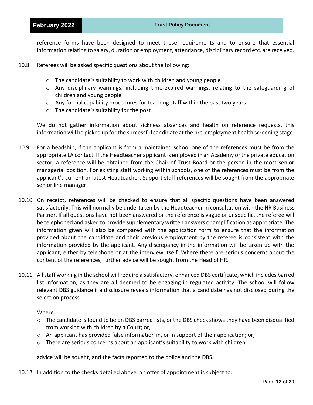#### **February 2022 Trust Policy Document**

reference forms have been designed to meet these requirements and to ensure that essential information relating to salary, duration or employment, attendance, disciplinary record etc. are received.

- 10.8 Referees will be asked specific questions about the following:
	- o The candidate's suitability to work with children and young people
	- $\circ$  Any disciplinary warnings, including time-expired warnings, relating to the safeguarding of children and young people
	- $\circ$  Any formal capability procedures for teaching staff within the past two years
	- o The candidate's suitability for the post

We do not gather information about sickness absences and health on reference requests, this information will be picked up for the successful candidate at the pre-employment health screening stage.

- 10.9 For a headship, if the applicant is from a maintained school one of the references must be from the appropriate LA contact. If the Headteacher applicant is employed in an Academy or the private education sector, a reference will be obtained from the Chair of Trust Board or the person in the most senior managerial position. For existing staff working within schools, one of the references must be from the applicant's current or latest Headteacher. Support staff references will be sought from the appropriate senior line manager.
- 10.10 On receipt, references will be checked to ensure that all specific questions have been answered satisfactorily. This will normally be undertaken by the Headteacher in consultation with the HR Business Partner. If all questions have not been answered or the reference is vague or unspecific, the referee will be telephoned and asked to provide supplementary written answers or amplification as appropriate. The information given will also be compared with the application form to ensure that the information provided about the candidate and their previous employment by the referee is consistent with the information provided by the applicant. Any discrepancy in the information will be taken up with the applicant, either by telephone or at the interview itself. Where there are serious concerns about the content of the references, further advice will be sought from the Head of HR.
- 10.11 All staff working in the school will require a satisfactory, enhanced DBS certificate, which includes barred list information, as they are all deemed to be engaging in regulated activity. The school will follow relevant DBS guidance if a disclosure reveals information that a candidate has not disclosed during the selection process.

Where:

- $\circ$  The candidate is found to be on DBS barred lists, or the DBS check shows they have been disqualified from working with children by a Court; or,
- $\circ$  An applicant has provided false information in, or in support of their application; or,
- $\circ$  There are serious concerns about an applicant's suitability to work with children

advice will be sought, and the facts reported to the police and the DBS.

10.12 In addition to the checks detailed above, an offer of appointment is subject to: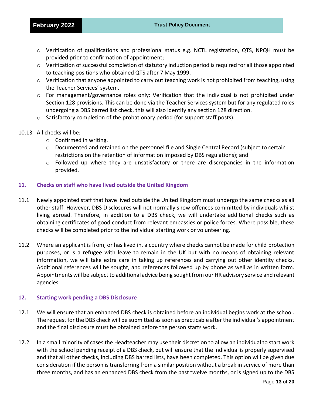- o Verification of qualifications and professional status e.g. NCTL registration, QTS, NPQH must be provided prior to confirmation of appointment;
- $\circ$  Verification of successful completion of statutory induction period is required for all those appointed to teaching positions who obtained QTS after 7 May 1999.
- $\circ$  Verification that anyone appointed to carry out teaching work is not prohibited from teaching, using the Teacher Services' system.
- $\circ$  For management/governance roles only: Verification that the individual is not prohibited under Section 128 provisions. This can be done via the Teacher Services system but for any regulated roles undergoing a DBS barred list check, this will also identify any section 128 direction.
- o Satisfactory completion of the probationary period (for support staff posts).
- 10.13 All checks will be:
	- o Confirmed in writing.
	- o Documented and retained on the personnel file and Single Central Record (subject to certain restrictions on the retention of information imposed by DBS regulations); and
	- $\circ$  Followed up where they are unsatisfactory or there are discrepancies in the information provided.

#### **11. Checks on staff who have lived outside the United Kingdom**

- 11.1 Newly appointed staff that have lived outside the United Kingdom must undergo the same checks as all other staff. However, DBS Disclosures will not normally show offences committed by individuals whilst living abroad. Therefore, in addition to a DBS check, we will undertake additional checks such as obtaining certificates of good conduct from relevant embassies or police forces. Where possible, these checks will be completed prior to the individual starting work or volunteering.
- 11.2 Where an applicant is from, or has lived in, a country where checks cannot be made for child protection purposes, or is a refugee with leave to remain in the UK but with no means of obtaining relevant information, we will take extra care in taking up references and carrying out other identity checks. Additional references will be sought, and references followed up by phone as well as in written form. Appointments will be subject to additional advice being sought from our HR advisory service and relevant agencies.

#### **12. Starting work pending a DBS Disclosure**

- 12.1 We will ensure that an enhanced DBS check is obtained before an individual begins work at the school. The request for the DBS check will be submitted as soon as practicable after the individual's appointment and the final disclosure must be obtained before the person starts work.
- 12.2 In a small minority of cases the Headteacher may use their discretion to allow an individual to start work with the school pending receipt of a DBS check, but will ensure that the individual is properly supervised and that all other checks, including DBS barred lists, have been completed. This option will be given due consideration if the person is transferring from a similar position without a break in service of more than three months, and has an enhanced DBS check from the past twelve months, or is signed up to the DBS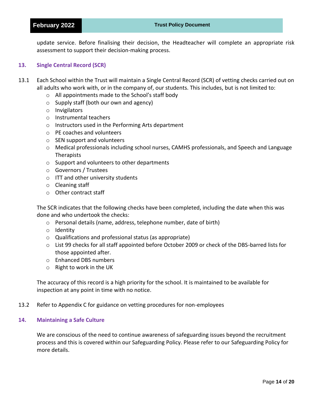#### **February 2022 Trust Policy Document**

update service. Before finalising their decision, the Headteacher will complete an appropriate risk assessment to support their decision-making process.

#### **13. Single Central Record (SCR)**

- 13.1 Each School within the Trust will maintain a Single Central Record (SCR) of vetting checks carried out on all adults who work with, or in the company of, our students. This includes, but is not limited to:
	- o All appointments made to the School's staff body
	- o Supply staff (both our own and agency)
	- o Invigilators
	- o Instrumental teachers
	- o Instructors used in the Performing Arts department
	- o PE coaches and volunteers
	- o SEN support and volunteers
	- o Medical professionals including school nurses, CAMHS professionals, and Speech and Language **Therapists**
	- o Support and volunteers to other departments
	- o Governors / Trustees
	- o ITT and other university students
	- o Cleaning staff
	- o Other contract staff

The SCR indicates that the following checks have been completed, including the date when this was done and who undertook the checks:

- o Personal details (name, address, telephone number, date of birth)
- o Identity
- o Qualifications and professional status (as appropriate)
- o List 99 checks for all staff appointed before October 2009 or check of the DBS-barred lists for those appointed after.
- o Enhanced DBS numbers
- o Right to work in the UK

The accuracy of this record is a high priority for the school. It is maintained to be available for inspection at any point in time with no notice.

#### 13.2 Refer to Appendix C for guidance on vetting procedures for non-employees

#### **14. Maintaining a Safe Culture**

We are conscious of the need to continue awareness of safeguarding issues beyond the recruitment process and this is covered within our Safeguarding Policy. Please refer to our Safeguarding Policy for more details.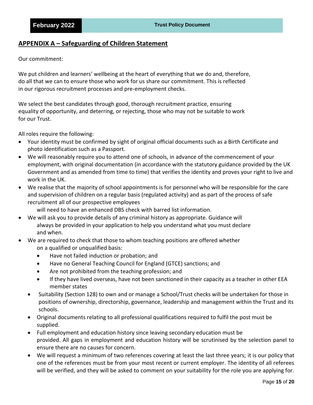### **APPENDIX A – Safeguarding of Children Statement**

#### Our commitment:

We put children and learners' wellbeing at the heart of everything that we do and, therefore, do all that we can to ensure those who work for us share our commitment. This is reflected in our rigorous recruitment processes and pre-employment checks.

We select the best candidates through good, thorough recruitment practice, ensuring equality of opportunity, and deterring, or rejecting, those who may not be suitable to work for our Trust.

All roles require the following:

- Your identity must be confirmed by sight of original official documents such as a Birth Certificate and photo identification such as a Passport.
- We will reasonably require you to attend one of schools, in advance of the commencement of your employment, with original documentation (in accordance with the statutory guidance provided by the UK Government and as amended from time to time) that verifies the identity and proves your right to live and work in the UK.
- We realise that the majority of school appointments is for personnel who will be responsible for the care and supervision of children on a regular basis (regulated activity) and as part of the process of safe recruitment all of our prospective employees

will need to have an enhanced DBS check with barred list information.

- We will ask you to provide details of any criminal history as appropriate. Guidance will always be provided in your application to help you understand what you must declare and when.
- We are required to check that those to whom teaching positions are offered whether on a qualified or unqualified basis:
	- Have not failed induction or probation; and
	- Have no General Teaching Council for England (GTCE) sanctions; and
	- Are not prohibited from the teaching profession; and
	- If they have lived overseas, have not been sanctioned in their capacity as a teacher in other EEA member states
	- Suitability (Section 128) to own and or manage a School/Trust checks will be undertaken for those in positions of ownership, directorship, governance, leadership and management within the Trust and its schools.
	- Original documents relating to all professional qualifications required to fulfil the post must be supplied.
	- Full employment and education history since leaving secondary education must be provided. All gaps in employment and education history will be scrutinised by the selection panel to ensure there are no causes for concern.
	- We will request a minimum of two references covering at least the last three years; it is our policy that one of the references must be from your most recent or current employer. The identity of all referees will be verified, and they will be asked to comment on your suitability for the role you are applying for.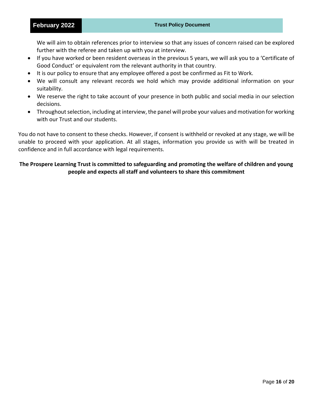We will aim to obtain references prior to interview so that any issues of concern raised can be explored further with the referee and taken up with you at interview.

- If you have worked or been resident overseas in the previous 5 years, we will ask you to a 'Certificate of Good Conduct' or equivalent rom the relevant authority in that country.
- It is our policy to ensure that any employee offered a post be confirmed as Fit to Work.
- We will consult any relevant records we hold which may provide additional information on your suitability.
- We reserve the right to take account of your presence in both public and social media in our selection decisions.
- Throughout selection, including at interview, the panel will probe your values and motivation for working with our Trust and our students.

You do not have to consent to these checks. However, if consent is withheld or revoked at any stage, we will be unable to proceed with your application. At all stages, information you provide us with will be treated in confidence and in full accordance with legal requirements.

#### **The Prospere Learning Trust is committed to safeguarding and promoting the welfare of children and young people and expects all staff and volunteers to share this commitment**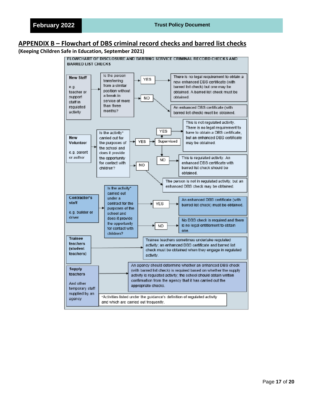### **APPENDIX B – Flowchart of DBS criminal record checks and barred list checks**

#### **(Keeping Children Safe in Education, September 2021)**

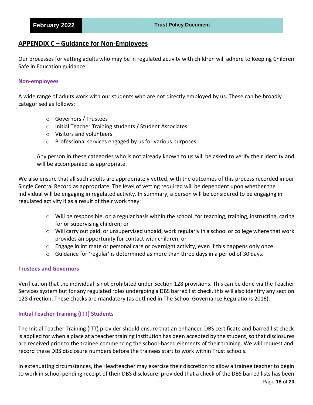#### **APPENDIX C – Guidance for Non-Employees**

Our processes for vetting adults who may be in regulated activity with children will adhere to Keeping Children Safe in Education guidance.

#### **Non-employees**

A wide range of adults work with our students who are not directly employed by us. These can be broadly categorised as follows:

- o Governors / Trustees
- o Initial Teacher Training students / Student Associates
- o Visitors and volunteers
- o Professional services engaged by us for various purposes

Any person in these categories who is not already known to us will be asked to verify their identity and will be accompanied as appropriate.

We also ensure that all such adults are appropriately vetted, with the outcomes of this process recorded in our Single Central Record as appropriate. The level of vetting required will be dependent upon whether the individual will be engaging in regulated activity. In summary, a person will be considered to be engaging in regulated activity if as a result of their work they:

- o Will be responsible, on a regular basis within the school, for teaching, training, instructing, caring for or supervising children; or
- o Will carry out paid, or unsupervised unpaid, work regularly in a school or college where that work provides an opportunity for contact with children; or
- $\circ$  Engage in intimate or personal care or overnight activity, even if this happens only once.
- $\circ$  Guidance for 'regular' is determined as more than three days in a period of 30 days.

#### **Trustees and Governors**

Verification that the individual is not prohibited under Section 128 provisions. This can be done via the Teacher Services system but for any regulated roles undergoing a DBS barred list check, this will also identify any section 128 direction. These checks are mandatory (as outlined in The School Governance Regulations 2016).

#### **Initial Teacher Training (ITT) Students**

The Initial Teacher Training (ITT) provider should ensure that an enhanced DBS certificate and barred list check is applied for when a place at a teacher training institution has been accepted by the student, so that disclosures are received prior to the trainee commencing the school-based elements of their training. We will request and record these DBS disclosure numbers before the trainees start to work within Trust schools.

In extenuating circumstances, the Headteacher may exercise their discretion to allow a trainee teacher to begin to work in school pending receipt of their DBS disclosure, provided that a check of the DBS barred lists has been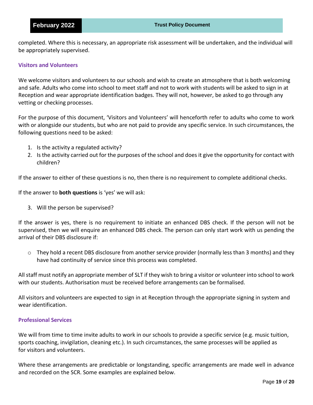completed. Where this is necessary, an appropriate risk assessment will be undertaken, and the individual will be appropriately supervised.

#### **Visitors and Volunteers**

We welcome visitors and volunteers to our schools and wish to create an atmosphere that is both welcoming and safe. Adults who come into school to meet staff and not to work with students will be asked to sign in at Reception and wear appropriate identification badges. They will not, however, be asked to go through any vetting or checking processes.

For the purpose of this document, 'Visitors and Volunteers' will henceforth refer to adults who come to work with or alongside our students, but who are not paid to provide any specific service. In such circumstances, the following questions need to be asked:

- 1. Is the activity a regulated activity?
- 2. Is the activity carried out for the purposes of the school and does it give the opportunity for contact with children?

If the answer to either of these questions is no, then there is no requirement to complete additional checks.

If the answer to **both questions** is 'yes' we will ask:

3. Will the person be supervised?

If the answer is yes, there is no requirement to initiate an enhanced DBS check. If the person will not be supervised, then we will enquire an enhanced DBS check. The person can only start work with us pending the arrival of their DBS disclosure if:

 $\circ$  They hold a recent DBS disclosure from another service provider (normally less than 3 months) and they have had continuity of service since this process was completed.

All staff must notify an appropriate member of SLT if they wish to bring a visitor or volunteer into school to work with our students. Authorisation must be received before arrangements can be formalised.

All visitors and volunteers are expected to sign in at Reception through the appropriate signing in system and wear identification.

#### **Professional Services**

We will from time to time invite adults to work in our schools to provide a specific service (e.g. music tuition, sports coaching, invigilation, cleaning etc.). In such circumstances, the same processes will be applied as for visitors and volunteers.

Where these arrangements are predictable or longstanding, specific arrangements are made well in advance and recorded on the SCR. Some examples are explained below.